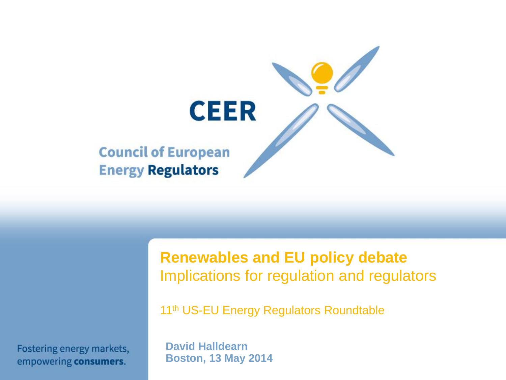

Fostering energy markets, empowering consumers.

**Renewables and EU policy debate** Implications for regulation and regulators

11<sup>th</sup> US-EU Energy Regulators Roundtable

**David Halldearn Boston, 13 May 2014**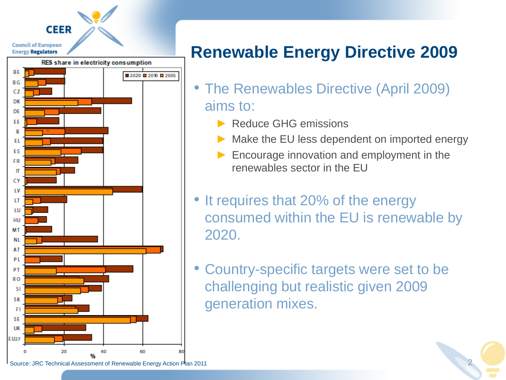

# **Renewable Energy Directive 2009**

- The Renewables Directive (April 2009) aims to:
	- ▶ Reduce GHG emissions
	- Make the EU less dependent on imported energy
	- Encourage innovation and employment in the renewables sector in the EU
- It requires that 20% of the energy consumed within the EU is renewable by 2020.
- Country-specific targets were set to be challenging but realistic given 2009 generation mixes.



<sup>I</sup> Source: JRC Technical Assessment of Renewable Energy Action Plan 2011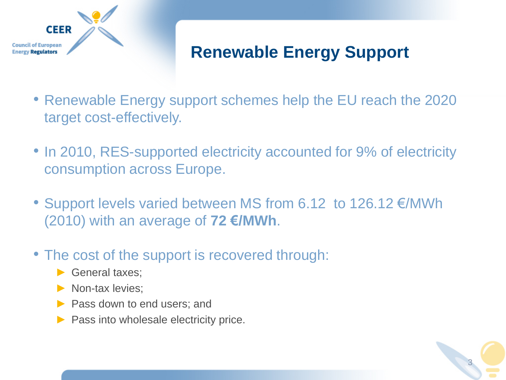

# **Renewable Energy Support**

- Renewable Energy support schemes help the EU reach the 2020 target cost-effectively.
- In 2010, RES-supported electricity accounted for 9% of electricity consumption across Europe.
- Support levels varied between MS from 6.12 to 126.12 €/MWh (2010) with an average of **72 €/MWh**.
- The cost of the support is recovered through:
	- ► General taxes;
	- ▶ Non-tax levies;
	- ▶ Pass down to end users; and
	- ▶ Pass into wholesale electricity price.

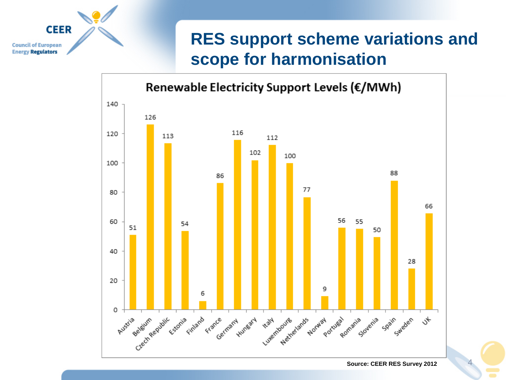# **RES support scheme variations and scope for harmonisation**



**Source: CEER RES Survey 2012** 

**Council of European Energy Regulators** 

**CEER**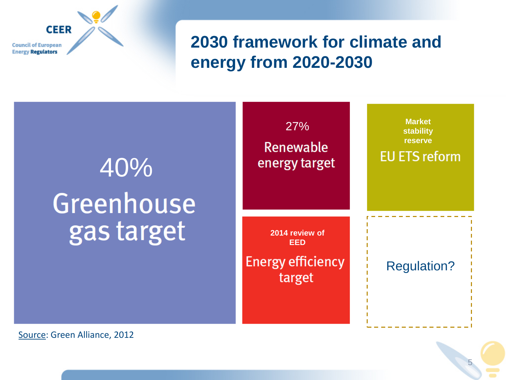

## **2030 framework for climate and energy from 2020-2030**

5



Source: Green Alliance, 2012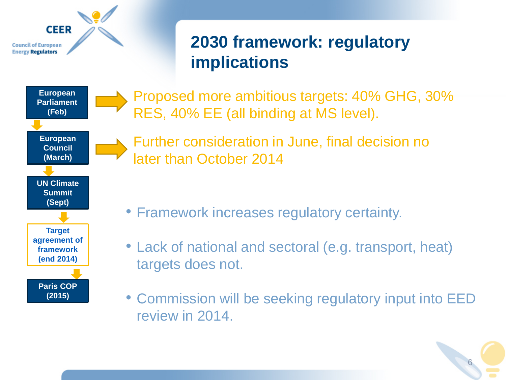**CEER Council of European Energy Regulators** 

# **2030 framework: regulatory implications**



Proposed more ambitious targets: 40% GHG, 30% RES, 40% EE (all binding at MS level).

Further consideration in June, final decision no later than October 2014

- Framework increases regulatory certainty.
- Lack of national and sectoral (e.g. transport, heat) targets does not.
- Commission will be seeking regulatory input into EED review in 2014.

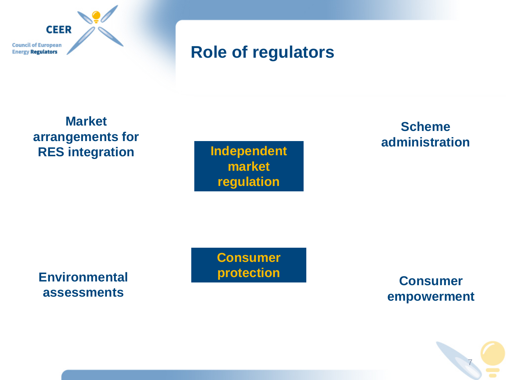

#### **Role of regulators**

#### **Market arrangements for RES integration**

**Independent market regulation**

#### **Scheme administration**

**Environmental assessments**

**Consumer protection Consumer** 

**empowerment**

7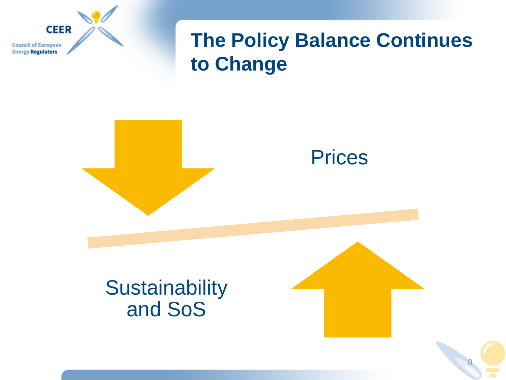

# **The Policy Balance Continues to Change**

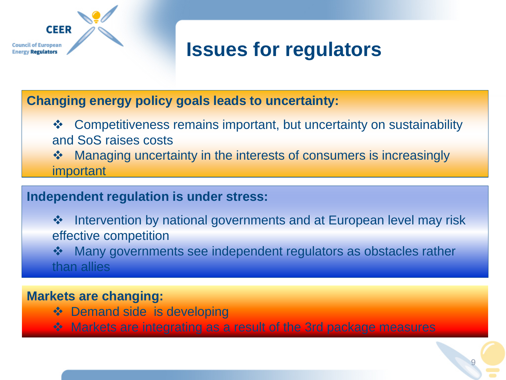

# **Issues for regulators**

**Changing energy policy goals leads to uncertainty:**

❖ Competitiveness remains important, but uncertainty on sustainability and SoS raises costs ❖ Managing uncertainty in the interests of consumers is increasingly

important

#### **Independent regulation is under stress:**

❖ Intervention by national governments and at European level may risk effective competition

 Many governments see independent regulators as obstacles rather than allies

#### **Markets are changing:**

- ❖ Demand side is developing
- Markets are integrating as a result of the 3rd package measures